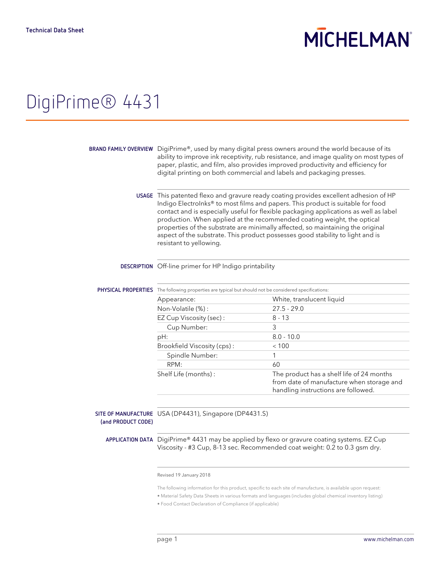# **MICHELMAN**

### DigiPrime® 4431

|                    | BRAND FAMILY OVERVIEW DigiPrime®, used by many digital press owners around the world because of its<br>ability to improve ink receptivity, rub resistance, and image quality on most types of<br>paper, plastic, and film, also provides improved productivity and efficiency for<br>digital printing on both commercial and labels and packaging presses.                                                                                                                                                                                   |                                                                                                                               |  |
|--------------------|----------------------------------------------------------------------------------------------------------------------------------------------------------------------------------------------------------------------------------------------------------------------------------------------------------------------------------------------------------------------------------------------------------------------------------------------------------------------------------------------------------------------------------------------|-------------------------------------------------------------------------------------------------------------------------------|--|
|                    | USAGE This patented flexo and gravure ready coating provides excellent adhesion of HP<br>Indigo ElectroInks® to most films and papers. This product is suitable for food<br>contact and is especially useful for flexible packaging applications as well as label<br>production. When applied at the recommended coating weight, the optical<br>properties of the substrate are minimally affected, so maintaining the original<br>aspect of the substrate. This product possesses good stability to light and is<br>resistant to yellowing. |                                                                                                                               |  |
|                    | DESCRIPTION Off-line primer for HP Indigo printability                                                                                                                                                                                                                                                                                                                                                                                                                                                                                       |                                                                                                                               |  |
|                    | PHYSICAL PROPERTIES The following properties are typical but should not be considered specifications:                                                                                                                                                                                                                                                                                                                                                                                                                                        |                                                                                                                               |  |
|                    | Appearance:                                                                                                                                                                                                                                                                                                                                                                                                                                                                                                                                  | White, translucent liquid                                                                                                     |  |
|                    | Non-Volatile (%):                                                                                                                                                                                                                                                                                                                                                                                                                                                                                                                            | $27.5 - 29.0$                                                                                                                 |  |
|                    | EZ Cup Viscosity (sec):                                                                                                                                                                                                                                                                                                                                                                                                                                                                                                                      | $8 - 13$                                                                                                                      |  |
|                    | Cup Number:                                                                                                                                                                                                                                                                                                                                                                                                                                                                                                                                  | 3                                                                                                                             |  |
|                    | pH:                                                                                                                                                                                                                                                                                                                                                                                                                                                                                                                                          | $8.0 - 10.0$                                                                                                                  |  |
|                    | Brookfield Viscosity (cps):                                                                                                                                                                                                                                                                                                                                                                                                                                                                                                                  | < 100                                                                                                                         |  |
|                    | Spindle Number:                                                                                                                                                                                                                                                                                                                                                                                                                                                                                                                              | 1                                                                                                                             |  |
|                    | RPM:                                                                                                                                                                                                                                                                                                                                                                                                                                                                                                                                         | 60                                                                                                                            |  |
|                    | Shelf Life (months):                                                                                                                                                                                                                                                                                                                                                                                                                                                                                                                         | The product has a shelf life of 24 months<br>from date of manufacture when storage and<br>handling instructions are followed. |  |
|                    |                                                                                                                                                                                                                                                                                                                                                                                                                                                                                                                                              |                                                                                                                               |  |
| (and PRODUCT CODE) | SITE OF MANUFACTURE USA (DP4431), Singapore (DP4431.S)                                                                                                                                                                                                                                                                                                                                                                                                                                                                                       |                                                                                                                               |  |
|                    | APPLICATION DATA DigiPrime® 4431 may be applied by flexo or gravure coating systems. EZ Cup                                                                                                                                                                                                                                                                                                                                                                                                                                                  |                                                                                                                               |  |

Viscosity - #3 Cup, 8-13 sec. Recommended coat weight: 0.2 to 0.3 gsm dry.

#### Revised 19 January 2018

The following information for this product, specific to each site of manufacture, is available upon request:

• Material Safety Data Sheets in various formats and languages (includes global chemical inventory listing)

• Food Contact Declaration of Compliance (if applicable)